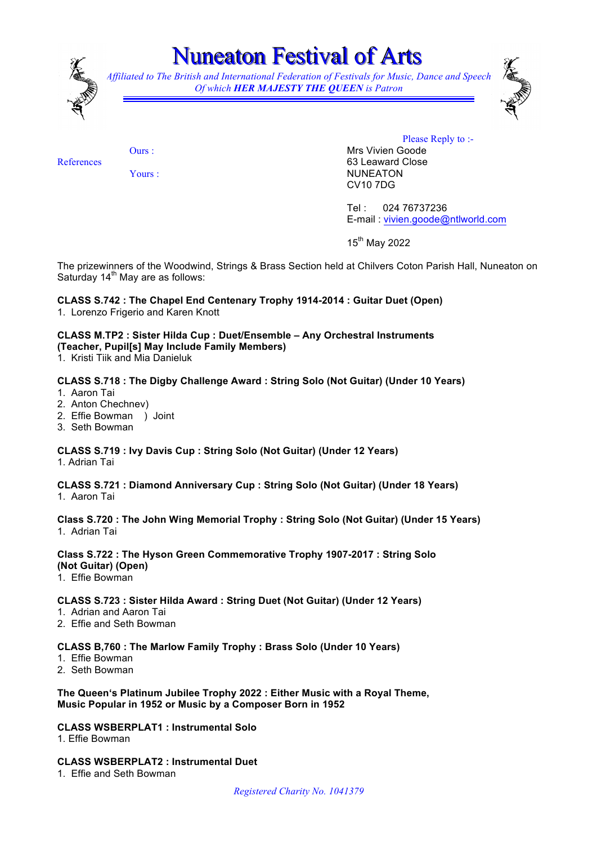

# uneaton Festival of Arts

*Affiliated to The British and International Federation of Festivals for Music, Dance and Speech Of which HER MAJESTY THE QUEEN is Patron* 



References

Yours :

Ours :

Please Reply to :-Mrs Vivien Goode 63 Leaward Close NUNEATON CV10 7DG

Tel : 024 76737236 E-mail : vivien.goode@ntlworld.com

15<sup>th</sup> May 2022

The prizewinners of the Woodwind, Strings & Brass Section held at Chilvers Coton Parish Hall, Nuneaton on Saturday  $14<sup>th</sup>$  May are as follows:

### **CLASS S.742 : The Chapel End Centenary Trophy 1914-2014 : Guitar Duet (Open)**

1. Lorenzo Frigerio and Karen Knott

#### **CLASS M.TP2 : Sister Hilda Cup : Duet/Ensemble – Any Orchestral Instruments (Teacher, Pupil[s] May Include Family Members)**

1. Kristi Tiik and Mia Danieluk

#### **CLASS S.718 : The Digby Challenge Award : String Solo (Not Guitar) (Under 10 Years)**

- 1. Aaron Tai
- 2. Anton Chechnev)
- 2. Effie Bowman ) Joint
- 3. Seth Bowman

#### **CLASS S.719 : Ivy Davis Cup : String Solo (Not Guitar) (Under 12 Years)**

1. Adrian Tai

## **CLASS S.721 : Diamond Anniversary Cup : String Solo (Not Guitar) (Under 18 Years)**

1. Aaron Tai

**Class S.720 : The John Wing Memorial Trophy : String Solo (Not Guitar) (Under 15 Years)** 1. Adrian Tai

#### **Class S.722 : The Hyson Green Commemorative Trophy 1907-2017 : String Solo (Not Guitar) (Open)**

1. Effie Bowman

#### **CLASS S.723 : Sister Hilda Award : String Duet (Not Guitar) (Under 12 Years)**

- 1. Adrian and Aaron Tai
- 2. Effie and Seth Bowman

#### **CLASS B,760 : The Marlow Family Trophy : Brass Solo (Under 10 Years)**

- 1. Effie Bowman
- 2. Seth Bowman

#### **The Queen's Platinum Jubilee Trophy 2022 : Either Music with a Royal Theme, Music Popular in 1952 or Music by a Composer Born in 1952**

#### **CLASS WSBERPLAT1 : Instrumental Solo**

1. Effie Bowman

#### **CLASS WSBERPLAT2 : Instrumental Duet**

1. Effie and Seth Bowman